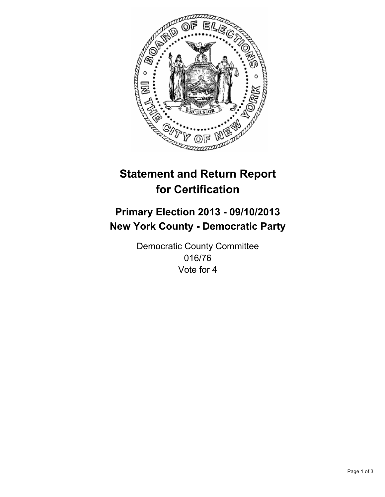

# **Statement and Return Report for Certification**

## **Primary Election 2013 - 09/10/2013 New York County - Democratic Party**

Democratic County Committee 016/76 Vote for 4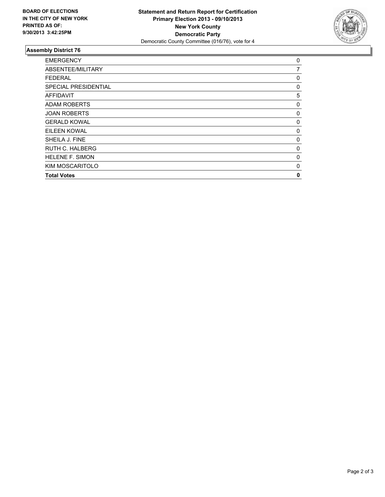

### **Assembly District 76**

| 0 |
|---|
| 7 |
| 0 |
| 0 |
| 5 |
| 0 |
| 0 |
| 0 |
| 0 |
| 0 |
| 0 |
| 0 |
| 0 |
| 0 |
|   |